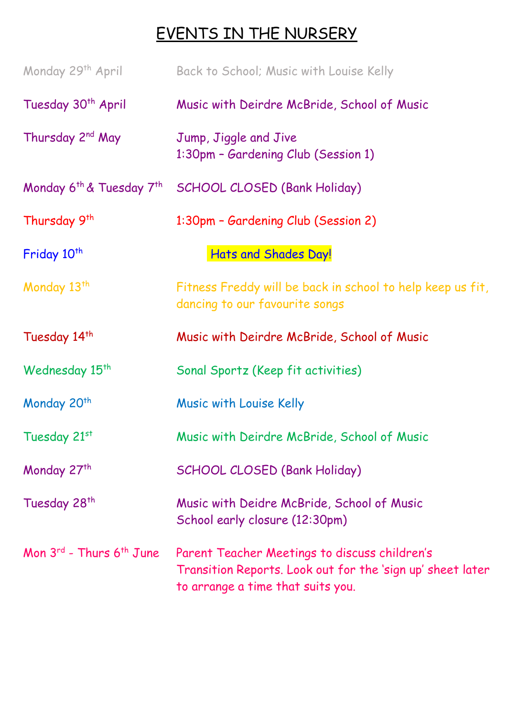## EVENTS IN THE NURSERY

| Monday 29th April                  | Back to School; Music with Louise Kelly                                                                                                          |
|------------------------------------|--------------------------------------------------------------------------------------------------------------------------------------------------|
| Tuesday 30 <sup>th</sup> April     | Music with Deirdre McBride, School of Music                                                                                                      |
| Thursday 2 <sup>nd</sup> May       | Jump, Jiggle and Jive<br>1:30pm - Gardening Club (Session 1)                                                                                     |
|                                    | Monday 6 <sup>th</sup> & Tuesday 7 <sup>th</sup> SCHOOL CLOSED (Bank Holiday)                                                                    |
| Thursday 9 <sup>th</sup>           | 1:30pm - Gardening Club (Session 2)                                                                                                              |
| Friday 10 <sup>th</sup>            | Hats and Shades Day!                                                                                                                             |
| Monday 13 <sup>th</sup>            | Fitness Freddy will be back in school to help keep us fit,<br>dancing to our favourite songs                                                     |
| Tuesday 14 <sup>th</sup>           | Music with Deirdre McBride, School of Music                                                                                                      |
| Wednesday 15 <sup>th</sup>         | Sonal Sportz (Keep fit activities)                                                                                                               |
| Monday 20 <sup>th</sup>            | Music with Louise Kelly                                                                                                                          |
| Tuesday 21st                       | Music with Deirdre McBride, School of Music                                                                                                      |
| Monday 27th                        | <b>SCHOOL CLOSED (Bank Holiday)</b>                                                                                                              |
| Tuesday 28 <sup>th</sup>           | Music with Deidre McBride, School of Music<br>School early closure (12:30pm)                                                                     |
| Mon $3^{rd}$ - Thurs $6^{th}$ June | Parent Teacher Meetings to discuss children's<br>Transition Reports. Look out for the 'sign up' sheet later<br>to arrange a time that suits you. |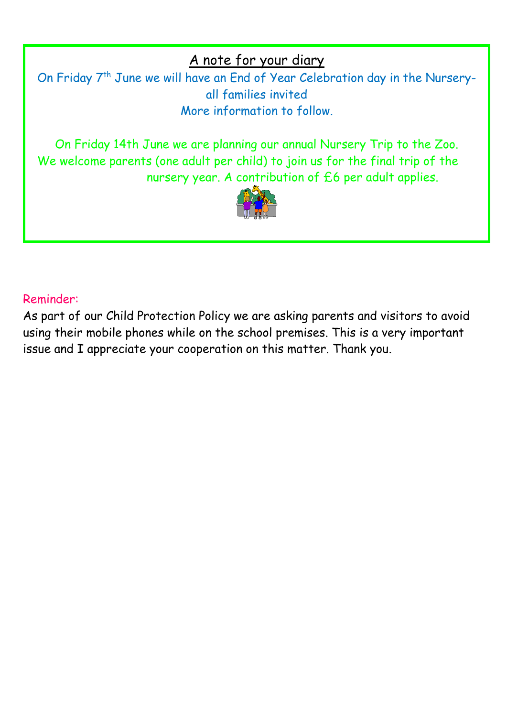A note for your diary

On Friday 7<sup>th</sup> June we will have an End of Year Celebration day in the Nurseryall families invited More information to follow.

On Friday 14th June we are planning our annual Nursery Trip to the Zoo. We welcome parents (one adult per child) to join us for the final trip of the nursery year. A contribution of £6 per adult applies.



#### Reminder:

As part of our Child Protection Policy we are asking parents and visitors to avoid using their mobile phones while on the school premises. This is a very important issue and I appreciate your cooperation on this matter. Thank you.